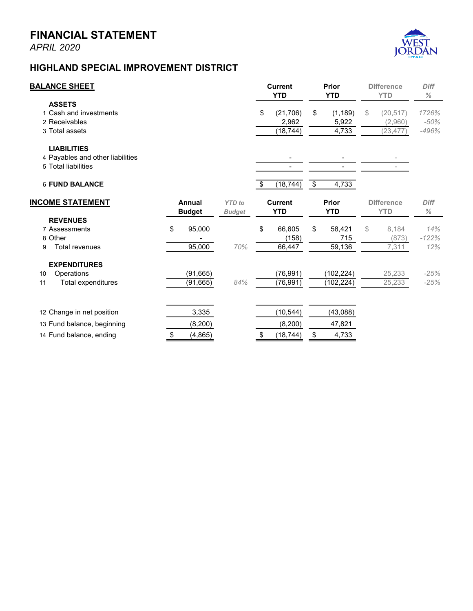## **FINANCIAL STATEMENT**

*APRIL 2020*



## **HIGHLAND SPECIAL IMPROVEMENT DISTRICT**

| <b>BALANCE SHEET</b>                                                          |    |                         |                                | <b>Current</b><br><b>YTD</b>          |                         | <b>Prior</b><br><b>YTD</b> |    | <b>Difference</b><br><b>YTD</b>   | <b>Diff</b><br>$\%$        |
|-------------------------------------------------------------------------------|----|-------------------------|--------------------------------|---------------------------------------|-------------------------|----------------------------|----|-----------------------------------|----------------------------|
| <b>ASSETS</b><br>1 Cash and investments<br>2 Receivables<br>3 Total assets    |    |                         |                                | \$<br>(21, 706)<br>2,962<br>(18, 744) | \$                      | (1, 189)<br>5,922<br>4,733 | \$ | (20, 517)<br>(2,960)<br>(23, 477) | 1726%<br>$-50%$<br>$-496%$ |
| <b>LIABILITIES</b><br>4 Payables and other liabilities<br>5 Total liabilities |    |                         |                                | $\overline{\phantom{0}}$              |                         |                            |    |                                   |                            |
| <b>6 FUND BALANCE</b>                                                         |    |                         |                                | \$<br>(18, 744)                       | $\overline{\mathbf{S}}$ | 4,733                      |    |                                   |                            |
| <b>INCOME STATEMENT</b>                                                       |    | Annual<br><b>Budget</b> | <b>YTD</b> to<br><b>Budget</b> | <b>Current</b><br><b>YTD</b>          |                         | <b>Prior</b><br><b>YTD</b> |    | <b>Difference</b><br><b>YTD</b>   | <b>Diff</b><br>$\%$        |
| <b>REVENUES</b>                                                               |    |                         |                                |                                       |                         |                            |    |                                   |                            |
| 7 Assessments                                                                 | \$ | 95,000                  |                                | \$<br>66,605                          | \$                      | 58,421                     | \$ | 8,184                             | 14%                        |
| 8 Other                                                                       |    |                         |                                | (158)                                 |                         | 715                        |    | (873)                             | $-122%$                    |
| <b>Total revenues</b><br>9                                                    |    | 95,000                  | 70%                            | 66,447                                |                         | 59,136                     |    | 7,311                             | 12%                        |
| <b>EXPENDITURES</b>                                                           |    |                         |                                |                                       |                         |                            |    |                                   |                            |
| Operations<br>10                                                              |    | (91, 665)               |                                | (76, 991)                             |                         | (102, 224)                 |    | 25,233                            | $-25%$                     |
| Total expenditures<br>11                                                      |    | (91, 665)               | 84%                            | (76, 991)                             |                         | (102, 224)                 |    | 25,233                            | $-25%$                     |
| 12 Change in net position                                                     |    | 3,335                   |                                | (10, 544)                             |                         | (43,088)                   |    |                                   |                            |
| 13 Fund balance, beginning                                                    |    | (8, 200)                |                                | (8, 200)                              |                         | 47,821                     |    |                                   |                            |
| 14 Fund balance, ending                                                       | \$ | (4, 865)                |                                | \$<br>(18, 744)                       | \$                      | 4,733                      |    |                                   |                            |
|                                                                               |    |                         |                                |                                       |                         |                            |    |                                   |                            |